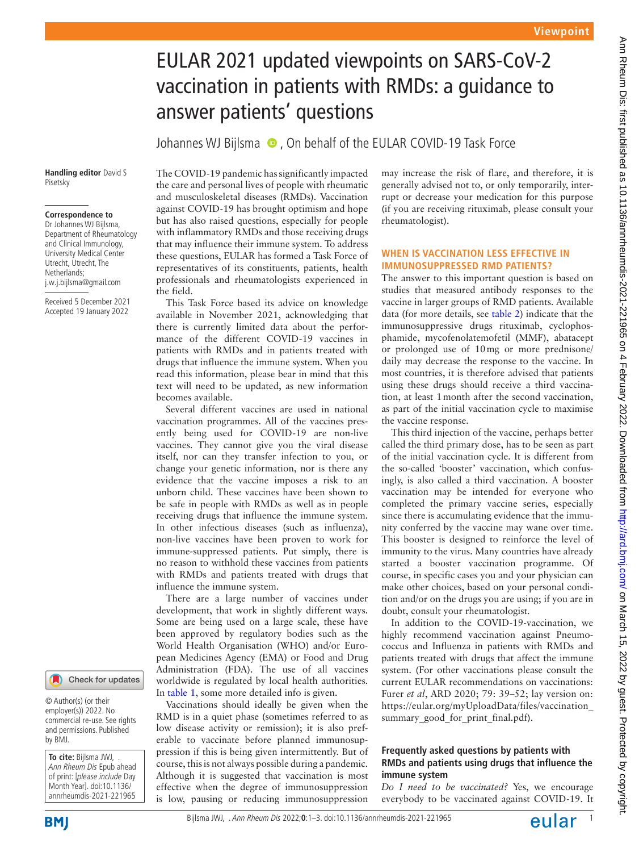# EULAR 2021 updated viewpoints on SARS-CoV-2 vaccination in patients with RMDs: a guidance to answer patients' questions

Johannes WJ Bijlsma  $\bullet$ , On behalf of the EULAR COVID-19 Task Force

#### **Handling editor** David S Pisetsky

### **Correspondence to**

Dr Johannes WJ Bijlsma, Department of Rheumatology and Clinical Immunology, University Medical Center Utrecht, Utrecht, The Netherlands; j.w.j.bijlsma@gmail.com

Received 5 December 2021 Accepted 19 January 2022



© Author(s) (or their employer(s)) 2022. No commercial re-use. See rights and permissions. Published by BMJ.

**To cite:** Bijlsma JWJ, . Ann Rheum Dis Epub ahead of print: [please include Day Month Year]. doi:10.1136/ annrheumdis-2021-221965 The COVID-19 pandemic has significantly impacted the care and personal lives of people with rheumatic and musculoskeletal diseases (RMDs). Vaccination against COVID-19 has brought optimism and hope but has also raised questions, especially for people with inflammatory RMDs and those receiving drugs that may influence their immune system. To address these questions, EULAR has formed a Task Force of representatives of its constituents, patients, health professionals and rheumatologists experienced in the field.

This Task Force based its advice on knowledge available in November 2021, acknowledging that there is currently limited data about the performance of the different COVID-19 vaccines in patients with RMDs and in patients treated with drugs that influence the immune system. When you read this information, please bear in mind that this text will need to be updated, as new information becomes available.

Several different vaccines are used in national vaccination programmes. All of the vaccines presently being used for COVID-19 are non-live vaccines. They cannot give you the viral disease itself, nor can they transfer infection to you, or change your genetic information, nor is there any evidence that the vaccine imposes a risk to an unborn child. These vaccines have been shown to be safe in people with RMDs as well as in people receiving drugs that influence the immune system. In other infectious diseases (such as influenza), non-live vaccines have been proven to work for immune-suppressed patients. Put simply, there is no reason to withhold these vaccines from patients with RMDs and patients treated with drugs that influence the immune system.

There are a large number of vaccines under development, that work in slightly different ways. Some are being used on a large scale, these have been approved by regulatory bodies such as the World Health Organisation (WHO) and/or European Medicines Agency (EMA) or Food and Drug Administration (FDA). The use of all vaccines worldwide is regulated by local health authorities. In [table](#page-1-0) 1, some more detailed info is given.

Vaccinations should ideally be given when the RMD is in a quiet phase (sometimes referred to as low disease activity or remission); it is also preferable to vaccinate before planned immunosuppression if this is being given intermittently. But of course, this is not always possible during a pandemic. Although it is suggested that vaccination is most effective when the degree of immunosuppression is low, pausing or reducing immunosuppression

may increase the risk of flare, and therefore, it is generally advised not to, or only temporarily, interrupt or decrease your medication for this purpose (if you are receiving rituximab, please consult your rheumatologist).

## **WHEN IS VACCINATION LESS EFFECTIVE IN IMMUNOSUPPRESSED RMD PATIENTS?**

The answer to this important question is based on studies that measured antibody responses to the vaccine in larger groups of RMD patients. Available data (for more details, see [table](#page-1-1) 2) indicate that the immunosuppressive drugs rituximab, cyclophosphamide, mycofenolatemofetil (MMF), abatacept or prolonged use of 10mg or more prednisone/ daily may decrease the response to the vaccine. In most countries, it is therefore advised that patients using these drugs should receive a third vaccination, at least 1month after the second vaccination, as part of the initial vaccination cycle to maximise the vaccine response.

This third injection of the vaccine, perhaps better called the third primary dose, has to be seen as part of the initial vaccination cycle. It is different from the so-called 'booster' vaccination, which confusingly, is also called a third vaccination. A booster vaccination may be intended for everyone who completed the primary vaccine series, especially since there is accumulating evidence that the immunity conferred by the vaccine may wane over time. This booster is designed to reinforce the level of immunity to the virus. Many countries have already started a booster vaccination programme. Of course, in specific cases you and your physician can make other choices, based on your personal condition and/or on the drugs you are using; if you are in doubt, consult your rheumatologist.

In addition to the COVID-19-vaccination, we highly recommend vaccination against Pneumococcus and Influenza in patients with RMDs and patients treated with drugs that affect the immune system. (For other vaccinations please consult the current EULAR recommendations on vaccinations: Furer *et al*, ARD 2020; 79: 39–52; lay version on: [https://eular.org/myUploadData/files/vaccination\\_](https://eular.org/myUploadData/files/vaccination_summary_good_for_print_final.pdf) summary good for print final.pdf).

## **Frequently asked questions by patients with RMDs and patients using drugs that influence the immune system**

*Do I need to be vaccinated?* Yes, we encourage everybody to be vaccinated against COVID-19. It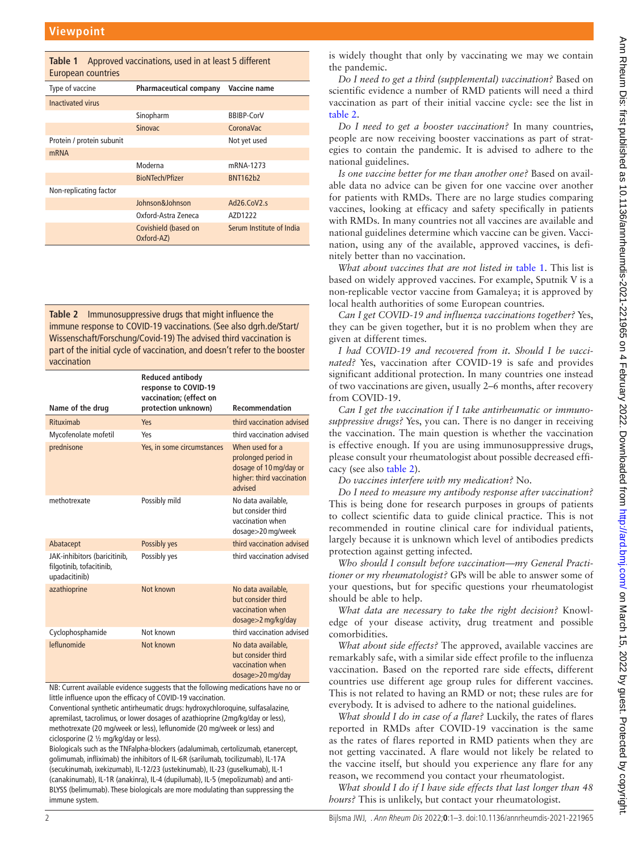<span id="page-1-0"></span>

| Approved vaccinations, used in at least 5 different<br>Table 1<br>European countries |                                    |                                      |  |
|--------------------------------------------------------------------------------------|------------------------------------|--------------------------------------|--|
| Type of vaccine                                                                      | Pharmaceutical company             | Vaccine name                         |  |
| Inactivated virus                                                                    |                                    |                                      |  |
|                                                                                      | Sinopharm                          | <b>BBIBP-CorV</b>                    |  |
|                                                                                      | <b>Sinovac</b>                     | CoronaVac                            |  |
| Protein / protein subunit                                                            |                                    | Not yet used                         |  |
| <b>mRNA</b>                                                                          |                                    |                                      |  |
|                                                                                      | Moderna                            | mRNA-1273                            |  |
|                                                                                      | <b>BioNTech/Pfizer</b>             | BNT162b2                             |  |
| Non-replicating factor                                                               |                                    |                                      |  |
|                                                                                      | Johnson&Johnson                    | Ad <sub>26</sub> .CoV <sub>2.s</sub> |  |
|                                                                                      | Oxford-Astra Zeneca                | AZD1222                              |  |
|                                                                                      | Covishield (based on<br>Oxford-AZ) | Serum Institute of India             |  |

<span id="page-1-1"></span>**Table 2** Immunosuppressive drugs that might influence the immune response to COVID-19 vaccinations. (See also dgrh.de/Start/ Wissenschaft/Forschung/Covid-19) The advised third vaccination is part of the initial cycle of vaccination, and doesn't refer to the booster vaccination

|                                                                           | <b>Reduced antibody</b><br>response to COVID-19<br>vaccination; (effect on |                                                                                                          |
|---------------------------------------------------------------------------|----------------------------------------------------------------------------|----------------------------------------------------------------------------------------------------------|
| Name of the drug                                                          | protection unknown)                                                        | <b>Recommendation</b>                                                                                    |
| Rituximah                                                                 | Yes                                                                        | third vaccination advised                                                                                |
| Mycofenolate mofetil                                                      | Yes                                                                        | third vaccination advised                                                                                |
| prednisone                                                                | Yes, in some circumstances                                                 | When used for a<br>prolonged period in<br>dosage of 10 mg/day or<br>higher: third vaccination<br>hezivha |
| methotrexate                                                              | Possibly mild                                                              | No data available.<br>but consider third<br>vaccination when<br>dosage>20 mg/week                        |
| Abatacept                                                                 | Possibly yes                                                               | third vaccination advised                                                                                |
| JAK-inhibitors (baricitinib,<br>filgotinib, tofacitinib,<br>upadacitinib) | Possibly yes                                                               | third vaccination advised                                                                                |
| azathioprine                                                              | Not known                                                                  | No data available.<br>but consider third<br>vaccination when<br>dosage>2 mg/kg/day                       |
| Cyclophosphamide                                                          | Not known                                                                  | third vaccination advised                                                                                |
| leflunomide                                                               | Not known                                                                  | No data available,<br>but consider third<br>vaccination when<br>$dosage > 20$ mg/day                     |

NB: Current available evidence suggests that the following medications have no or little influence upon the efficacy of COVID-19 vaccination.

Conventional synthetic antirheumatic drugs: hydroxychloroquine, sulfasalazine, apremilast, tacrolimus, or lower dosages of azathioprine (2mg/kg/day or less), methotrexate (20 mg/week or less), leflunomide (20 mg/week or less) and ciclosporine (2 ½ mg/kg/day or less).

Biologicals such as the TNFalpha-blockers (adalumimab, certolizumab, etanercept, golimumab, infliximab) the inhibitors of IL-6R (sarilumab, tocilizumab), IL-17A (secukinumab, ixekizumab), IL-12/23 (ustekinumab), IL-23 (guselkumab), IL-1 (canakinumab), IL-1R (anakinra), IL-4 (dupilumab), IL-5 (mepolizumab) and anti-BLYSS (belimumab). These biologicals are more modulating than suppressing the immune system.

is widely thought that only by vaccinating we may we contain the pandemic.

*Do I need to get a third (supplemental) vaccination?* Based on scientific evidence a number of RMD patients will need a third vaccination as part of their initial vaccine cycle: see the list in [table](#page-1-1) 2.

*Do I need to get a booster vaccination?* In many countries, people are now receiving booster vaccinations as part of strategies to contain the pandemic. It is advised to adhere to the national guidelines.

*Is one vaccine better for me than another one?* Based on available data no advice can be given for one vaccine over another for patients with RMDs. There are no large studies comparing vaccines, looking at efficacy and safety specifically in patients with RMDs. In many countries not all vaccines are available and national guidelines determine which vaccine can be given. Vaccination, using any of the available, approved vaccines, is definitely better than no vaccination.

*What about vaccines that are not listed in* [table](#page-1-0) 1. This list is based on widely approved vaccines. For example, Sputnik V is a non-replicable vector vaccine from Gamaleya; it is approved by local health authorities of some European countries.

*Can I get COVID-19 and influenza vaccinations together?* Yes, they can be given together, but it is no problem when they are given at different times.

*I had COVID-19 and recovered from it. Should I be vaccinated?* Yes, vaccination after COVID-19 is safe and provides significant additional protection. In many countries one instead of two vaccinations are given, usually 2–6 months, after recovery from COVID-19.

*Can I get the vaccination if I take antirheumatic or immunosuppressive drugs?* Yes, you can. There is no danger in receiving the vaccination. The main question is whether the vaccination is effective enough. If you are using immunosuppressive drugs, please consult your rheumatologist about possible decreased efficacy (see also [table](#page-1-1) 2).

*Do vaccines interfere with my medication?* No.

*Do I need to measure my antibody response after vaccination?* This is being done for research purposes in groups of patients to collect scientific data to guide clinical practice. This is not recommended in routine clinical care for individual patients, largely because it is unknown which level of antibodies predicts protection against getting infected.

*Who should I consult before vaccination—my General Practitioner or my rheumatologist?* GPs will be able to answer some of your questions, but for specific questions your rheumatologist should be able to help.

*What data are necessary to take the right decision?* Knowledge of your disease activity, drug treatment and possible comorbidities.

*What about side effects?* The approved, available vaccines are remarkably safe, with a similar side effect profile to the influenza vaccination. Based on the reported rare side effects, different countries use different age group rules for different vaccines. This is not related to having an RMD or not; these rules are for everybody. It is advised to adhere to the national guidelines.

*What should I do in case of a flare?* Luckily, the rates of flares reported in RMDs after COVID-19 vaccination is the same as the rates of flares reported in RMD patients when they are not getting vaccinated. A flare would not likely be related to the vaccine itself, but should you experience any flare for any reason, we recommend you contact your rheumatologist.

*What should I do if I have side effects that last longer than 48 hours?* This is unlikely, but contact your rheumatologist.